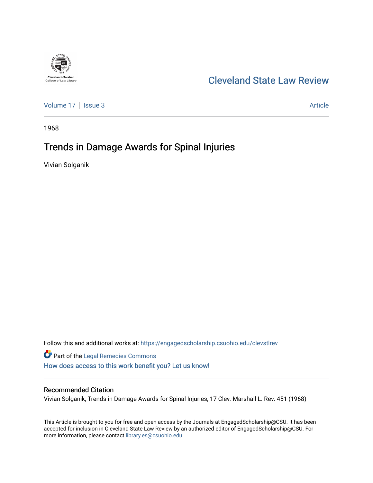

# [Cleveland State Law Review](https://engagedscholarship.csuohio.edu/clevstlrev)

[Volume 17](https://engagedscholarship.csuohio.edu/clevstlrev/vol17) | [Issue 3](https://engagedscholarship.csuohio.edu/clevstlrev/vol17/iss3) Article

1968

# Trends in Damage Awards for Spinal Injuries

Vivian Solganik

Follow this and additional works at: [https://engagedscholarship.csuohio.edu/clevstlrev](https://engagedscholarship.csuohio.edu/clevstlrev?utm_source=engagedscholarship.csuohio.edu%2Fclevstlrev%2Fvol17%2Fiss3%2F6&utm_medium=PDF&utm_campaign=PDFCoverPages)

Part of the [Legal Remedies Commons](http://network.bepress.com/hgg/discipline/618?utm_source=engagedscholarship.csuohio.edu%2Fclevstlrev%2Fvol17%2Fiss3%2F6&utm_medium=PDF&utm_campaign=PDFCoverPages)  [How does access to this work benefit you? Let us know!](http://library.csuohio.edu/engaged/)

# Recommended Citation

Vivian Solganik, Trends in Damage Awards for Spinal Injuries, 17 Clev.-Marshall L. Rev. 451 (1968)

This Article is brought to you for free and open access by the Journals at EngagedScholarship@CSU. It has been accepted for inclusion in Cleveland State Law Review by an authorized editor of EngagedScholarship@CSU. For more information, please contact [library.es@csuohio.edu](mailto:library.es@csuohio.edu).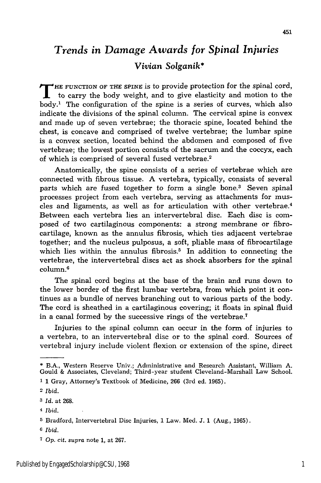# *Trends in Damage Awards for Spinal Injuries Vivian Solganik\**

**T HE FUNCTION OF THE SPINE** is to provide protection for the spinal cord, to carry the body weight, and to give elasticity and motion to the body.' The configuration of the spine is a series of curves, which also indicate the divisions of the spinal column. The cervical spine is convex and made up of seven vertebrae; the thoracic spine, located behind the chest, is concave and comprised of twelve vertebrae; the lumbar spine is a convex section, located behind the abdomen and composed of five vertebrae; the lowest portion consists of the sacrum and the coccyx, each of which is comprised of several fused vertebrae.2

Anatomically, the spine consists of a series of vertebrae which are connected with fibrous tissue. **A** vertebra, typically, consists of several parts which are fused together to form a single bone.3 Seven spinal processes project from each vertebra, serving as attachments for muscles and ligaments, as well as for articulation with other vertebrae.<sup>4</sup> Between each vertebra lies an intervertebral disc. Each disc is composed of two cartilaginous components: a strong membrane or fibrocartilage, known as the annulus fibrosis, which ties adjacent vertebrae together; and the nucleus pulposus, a soft, pliable mass of fibrocartilage which lies within the annulus fibrosis.<sup>5</sup> In addition to connecting the vertebrae, the intervertebral discs act as shock absorbers for the spinal column.6

The spinal cord begins at the base of the brain and runs down to the lower border of the first lumbar vertebra, from which point it continues as a bundle of nerves branching out to various parts of the body. The cord is sheathed in a cartilaginous covering; it floats in spinal fluid in a canal formed by the successive rings of the vertebrae.<sup>7</sup>

Injuries to the spinal column can occur in the form of injuries to a vertebra, to an intervertebral disc or to the spinal cord. Sources of vertebral injury include violent flexion or extension of the spine, direct

**1** 1 Gray, Attorney's Textbook of Medicine, **266** (3rd ed. **1965).**

**6** *Ibid.*

**<sup>\*</sup>** B.A., Western Reserve Univ.; Administrative and Research Assistant, William **A.** Gould & Associates, Cleveland; Third-year student Cleveland-Marshall Law School.

<sup>2</sup>*Ibid.*

*<sup>3</sup> Id.* at 268.

<sup>4</sup> *Ibid.*

**<sup>5</sup>** Bradford, Intervertebral Disc Injuries, 1 Law. Med. J. **1** (Aug., 1965).

*<sup>7</sup> Op. cit. supra* note 1, at 267.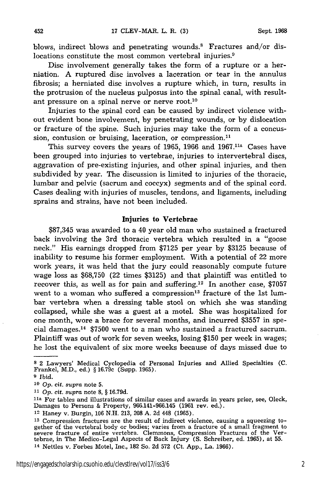blows, indirect blows and penetrating wounds.<sup>8</sup> Fractures and/or dislocations constitute the most common vertebral injuries.<sup>9</sup>

Disc involvement generally takes the form of a rupture or a herniation. A ruptured disc involves a laceration or tear in the annulus fibrosis; a herniated disc involves a rupture which, in turn, results in the protrusion of the nucleus pulposus into the spinal canal, with resultant pressure on a spinal nerve or nerve root.10

Injuries to the spinal cord can be caused by indirect violence without evident bone involvement, by penetrating wounds, or by dislocation or fracture of the spine. Such injuries may take the form of a concussion, contusion or bruising, laceration, or compression.<sup>11</sup>

This survey covers the years of 1965, 1966 and  $1967$ .<sup>11a</sup> Cases have been grouped into injuries to vertebrae, injuries to intervertebral discs, aggravation of pre-existing injuries, and other spinal injuries, and then subdivided by year. The discussion is limited to injuries of the thoracic, lumbar and pelvic (sacrum and coccyx) segments and of the spinal cord. Cases dealing with injuries of muscles, tendons, and ligaments, including sprains and strains, have not been included.

### Injuries **to Vertebrae**

**\$87,345** was awarded to a 40 year old man who sustained a fractured back involving the 3rd thoracic vertebra which resulted in a "goose neck." His earnings dropped from **\$7125** per year **by \$3125** because of inability to resume his former employment. With a potential of 22 more work years, it was held that the jury could reasonably compute future wage loss as \$68,750 (22 times \$3125) and that plaintiff was entitled to recover this, as well as for pain and suffering.<sup>12</sup> In another case, \$7057 went to a woman who suffered a compression<sup>13</sup> fracture of the 1st lumbar vertebra when a dressing table stool on which she was standing collapsed, while she was a guest at a motel. She was hospitalized for one month, wore a brace for several months, and incurred \$3557 in special damages.<sup>14</sup> \$7500 went to a man who sustained a fractured sacrum. Plaintiff was out of work for seven weeks, losing \$150 per week in wages; he lost the equivalent of six more weeks because of days missed due to

**<sup>8</sup>**2 Lawyers' Medical Cyclopedia of Personal Injuries and Allied Specialties **(C.** Frankel, M.D., ed.) § 16.79c (Supp. 1965).

**<sup>9</sup>** *Ibid.*

**<sup>10</sup>***Op. cit. supra* note **5.**

*<sup>11</sup>Op.* cit. *supra* note 8, § 16.79d.

**la** For tables and illustrations of similar cases and awards in years prior, see, Oleck, Damages to Persons & Property, 966.141-966.145 (1961 rev. ed.).

<sup>12</sup> Haney v. Burgin, 106 N.H. 213, 208 A. 2d 448 (1965).

**<sup>13</sup>** Compression fractures are the result of indirect violence, causing a squeezing to-Subsequently the vertebral body or bodies; varies from a fracture of a small fragment to severe fracture of entire vertebra. Clemmons, Compression Fractures of the Vertebrae, in The Medico-Legal Aspects of Back Injury (S. 14 Nettles v. Forbes Motel, Inc., 182 So. 2d 572 (Ct. App., La. 1966).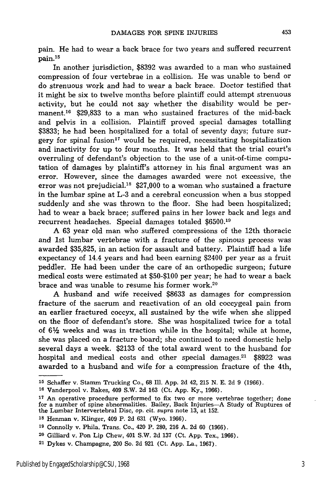pain. He had to wear a back brace for two years and suffered recurrent pain. <sup>15</sup>

In another jurisdiction, **\$8392** was awarded to a man who sustained compression of four vertebrae in a collision. He was unable to bend or do strenuous work and had to wear a back brace. Doctor testified that it might be six to twelve months before plaintiff could attempt strenuous activity, but he could not say whether the disability would be permanent.16 \$29,833 to a man who sustained fractures of the mid-back and pelvis in a collision. Plaintiff proved special damages totalling **\$3833;** he had been hospitalized for a total of seventy days; future surgery for spinal fusion<sup>17</sup> would be required, necessitating hospitalization and inactivity for up to four months. It was held that the trial court's overruling of defendant's objection to the use of a unit-of-time computation of damages by plaintiff's attorney in his final argument was an error. However, since the damages awarded were not excessive, the error was not prejudicial.<sup>18</sup> \$27,000 to a woman who sustained a fracture in the lumbar spine at L-3 and a cerebral concussion when a bus stopped suddenly and she was thrown to the floor. She had been hospitalized; had to wear a back brace; suffered pains in her lower back and legs and recurrent headaches. Special damages totaled \$6500.19

A **63** year old man who suffered compressions of the 12th thoracic and **1st** lumbar vertebrae with a fracture of the spinous process was awarded **\$35,825,** in an action for assault and battery. Plaintiff had a life expectancy of 14.4 years and had been earning \$2400 per year as a fruit peddler. He had been under the care of an orthopedic surgeon; future medical costs were estimated at \$50-\$100 per year; he had to wear a back brace and was unable to resume his former work.<sup>20</sup>

A husband and wife received **\$8633** as damages for compression fracture of the sacrum and reactivation of an old coccygeal pain from an earlier fractured coccyx, all sustained **by** the wife when she slipped on the floor of defendant's store. She was hospitalized twice for a total of  $6\frac{1}{2}$  weeks and was in traction while in the hospital; while at home, she was placed on a fracture board; she continued to need domestic help several days a week. **\$2133** of the total award went to the husband for hospital and medical costs and other special damages.<sup>21</sup>  $$8922$  was awarded to a husband and wife for a compression fracture of the 4th,

**<sup>15</sup>**Schaffer v. Stamm Trucking Co., **68** Ill. App. **2d** 42, 215 N. **E.** 2d 9 (1966).

**<sup>16</sup>**Vanderpool v. Rakes, 409 S.W. **2d 163** (Ct. App. Ky., **1966).**

**<sup>17</sup>**An operative procedure performed to **fix** two or more vertebrae together; done for a number of spine abnormalities. Bailey, Back Injuries-A Study of Ruptures of the Lumbar Intervertebral Disc, op. cit. *supra* note 13, at 152.

**<sup>18</sup>**Henman v. Klinger, 409 P. 2d 631 (Wyo. 1966).

**<sup>19</sup>**Connolly v. Phila. Trans. Co., 420 P. 280, 216 A. 2d 60 (1966).

**<sup>20</sup>**Gilliard v. Pon Lip Chew, 401 S.W. 2d 137 (Ct. App. Tex., 1966).

<sup>21</sup> Dykes v. Champagne, 200 So. 2d 921 (Ct. App. La., 1967).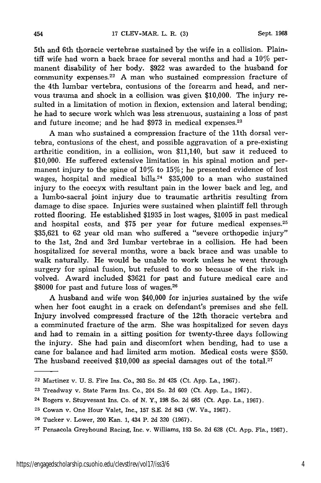5th and 6th thoracic vertebrae sustained by the wife in a collision. Plaintiff wife had worn a back brace for several months and had a 10% permanent disability of her body. \$922 was awarded to the husband for community expenses.<sup>22</sup> A man who sustained compression fracture of the 4th lumbar vertebra, contusions of the forearm and head, and nervous trauma and shock in a collision was given \$10,000. The injury resulted in a limitation of motion in flexion, extension and lateral bending; he had to secure work which was less strenuous, sustaining a loss of past and future income; and he had \$973 in medical expenses.<sup>23</sup>

A man who sustained a compression fracture of the 11th dorsal vertebra, contusions of the chest, and possible aggravation of a pre-existing arthritic condition, in a collision, won \$11,140, but saw it reduced to \$10,000. He suffered extensive limitation in his spinal motion and permanent injury to the spine of 10% to 15%; he presented evidence of lost wages, hospital and medical bills.<sup>24</sup>  $$35,000$  to a man who sustained injury to the coccyx with resultant pain in the lower back and leg, and a lumbo-sacral joint injury due to traumatic arthritis resulting from damage to disc space. Injuries were sustained when plaintiff fell through rotted flooring. He established \$1935 in lost wages, \$1005 in past medical and hospital costs, and \$75 per year for future medical expenses.<sup>25</sup> \$35,621 to 62 year old man who suffered a "severe orthopedic injury" to the 1st, 2nd and 3rd lumbar vertebrae in a collision. He had been hospitalized for several months, wore a back brace and was unable to walk naturally. He would be unable to work unless he went through surgery for spinal fusion, but refused to do so because of the risk involved. Award included \$3621 for past and future medical care and \$8000 for past and future loss of wages.<sup>26</sup>

A husband and wife won \$40,000 for injuries sustained by the wife when her foot caught in a crack on defendant's premises and she fell. Injury involved compressed fracture of the 12th thoracic vertebra and a comminuted fracture of the arm. She was hospitalized for seven days and had to remain in a sitting position for twenty-three days following the injury. She had pain and discomfort when bending, had to use a cane for balance and had limited arm motion. Medical costs were \$550. The husband received  $$10,000$  as special damages out of the total.<sup>27</sup>

<sup>22</sup> Martinez v. U. S. Fire Ins. Co., 203 So. 2d 425 (Ct. App. La., 1967).

**<sup>23</sup>**Treadway v. State Farm Ins. Co., 204 So. 2d 609 (Ct. App. La., 1967).

**<sup>24</sup>** Rogers v. Stuyvesant Ins. Co. of N. Y., 198 So. 2d 685 (Ct. App. La., 1967).

**<sup>25</sup>**Cowan v. One Hour Valet, Inc., 157 S.E. 2d 843 (W. Va., 1967).

<sup>26</sup> Tucker v. Lower, 200 Kan. 1, 434 P. 2d 320 (1967).

**<sup>27</sup>**Pensacola Greyhound Racing, Inc. v. Williams, 193 So. 2d 628 (Ct. App. Fla., 1967).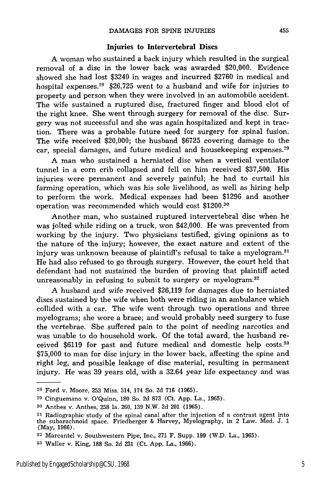### **Injuries to Intervertebral Discs**

**A** woman who sustained a back injury which resulted in the surgical removal of a disc in the lower back was awarded \$20,000. Evidence showed she had lost \$3240 in wages and incurred \$2760 in medical and hospital expenses.28 \$26,725 went to a husband and wife for injuries to property and person when they were involved in an automobile accident. The wife sustained a ruptured disc, fractured finger and blood clot of the right knee. She went through surgery for removal of the disc. Surgery was not successful and she was again hospitalized and kept in traction. There was a probable future need for surgery for spinal fusion. The wife received \$20,000; the husband \$6725 covering damage to the ear, special damages, and future medical and housekeeping expenses.<sup>29</sup>

A man who sustained a herniated disc when a vertical ventilator tunnel in a corn crib collapsed and fell on him received \$37,500. His injuries were permanent and severely painful; he had to curtail his farming operation, which was his sole livelihood, as well as hiring help to perform the work. Medical expenses had been \$1296 and another operation was recommended which would cost \$1200.30

Another man, who sustained ruptured intervertebral disc when he was jolted while riding on a truck, won \$42,000. He was prevented from working by the injury. Two physicians testified, giving opinions as to the nature of the injury; however, the exact nature and extent of the injury was unknown because of plaintiff's refusal to take a myelogram.<sup>31</sup> He had also refused to go through surgery. However, the court held that defendant had not sustained the burden of proving that plaintiff acted unreasonably in refusing to submit to surgery or myelogram.<sup>32</sup>

A husband and wife received \$26,119 for damages due to herniated discs sustained by the wife when both were riding in an ambulance which collided with a car. The wife went through two operations and three myelograms; she wore a brace; and would probably need surgery to fuse the vertebrae. She suffered pain to the point of needing narcotics and was unable to do household work. Of the total award, the husband received \$6119 for past and future medical and domestic help costs.33 **\$75,000** to man for disc injury in the lower back, affecting the spine and right leg, and possible leakage of disc material, resulting in permanent injury. He was 39 years old, with a 32.64 year life expectancy and was

**<sup>28</sup>**Ford v. Moore, 253 Miss. 314, 174 So. 2d 716 (1965).

**<sup>29</sup>**Cinguemano v. O'Quinn, 180 So. 2d 873 (Ct. App. La., 1965).

**<sup>30</sup>**Anthes v. Anthes, 258 Ia. 260, 139 N.W. 2d 201 (1965).

**<sup>31</sup>**Radiographic study of the spinal canal after the injection of a contrast agent into the subarachnoid space. Friedberger & Harvey, Myelography, in 2 Law. Med. J. 1 (May, 1966).

**<sup>32</sup>**Marcantel v. Southwestern Pipe, Inc., 271 F. Supp. 199 (W.D. La., 1965).

**<sup>33</sup>**Waller v. King, 188 So. 2d 231 (Ct. App. La., 1966).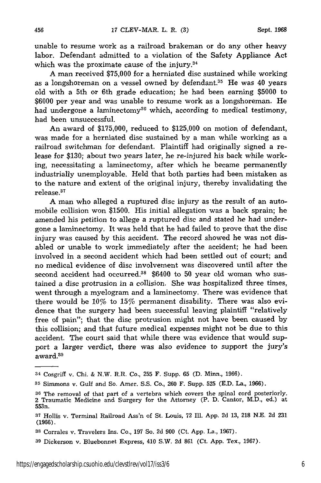unable to resume work as a railroad brakeman or do any other heavy labor. Defendant admitted to a violation of the Safety Appliance Act which was the proximate cause of the injury. $34$ 

A man received \$75,000 for a herniated disc sustained while working as a longshoreman on a vessel owned by defendant.<sup>35</sup> He was 40 years old with a 5th or 6th grade education; he had been earning \$5000 to \$6000 per year and was unable to resume work as a longshoreman. He had undergone a laminectomy<sup>36</sup> which, according to medical testimony, had been unsuccessful.

An award of \$175,000, reduced to \$125,000 on motion of defendant, was made for a herniated disc sustained by a man while working as a railroad switchman for defendant. Plaintiff had originally signed a release for \$130; about two years later, he re-injured his back while working, necessitating a laminectomy, after which he became permanently industrially unemployable. Held that both parties had been mistaken as to the nature and extent of the original injury, thereby invalidating the release.<sup>37</sup>

A man who alleged a ruptured disc injury as the result of an automobile collision won \$1500. His initial allegation was a back sprain; he amended his petition to allege a ruptured disc and stated he had undergone a laminectomy. It was held that he had failed to prove that the disc injury was caused by this accident. The record showed he was not disabled or unable to work immediately after the accident; he had been involved in a second accident which had been settled out of court; and no medical evidence of disc involvement was discovered until after the second accident had occurred.<sup>38</sup> \$6400 to 50 year old woman who sustained a disc protrusion in a collision. She was hospitalized three times, went through a myelogram and a laminectomy. There was evidence that there would be  $10\%$  to  $15\%$  permanent disability. There was also evidence that the surgery had been successful leaving plaintiff "relatively free of pain"; that the disc protrusion might not have been caused by this collision; and that future medical expenses might not be due to this accident. The court said that while there was evidence that would support a larger verdict, there was also evidence to support the jury's award.<sup>39</sup>

<sup>34</sup> CosgrifT v. Chi. & N.W. R.R. Co., 255 F. Supp. **65** (D. Minn., 1966).

**<sup>35</sup>**Simmons v. Gulf and So. Amer. **S.S.** Co., 260 F. Supp. 525 (E.D. La., 1966).

**<sup>36</sup>**The removal of that part of a vertebra which covers the spinal cord posteriorly. 2 Traumatic Medicine and Surgery for the Attorney (P. D. Cantor, M.D., ed.) at 553n.

**<sup>37</sup>** Hollis v. Terminal Railroad Ass'n of St. Louis, 72 Ill. App. 2d 13, **218** N.E. 2d 231 (1966).

**<sup>38</sup>**Corrales v. Travelers Ins. Co., 197 So. 2d 900 (Ct. App. La., 1967).

<sup>39</sup> Dickerson v. Bluebonnet Express, 410 S.W. 2d 861 (Ct. App. Tex., 1967).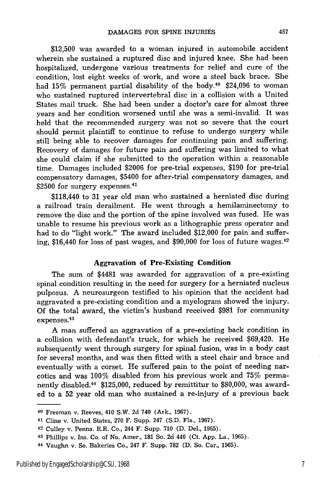\$12,500 was awarded to a woman injured in automobile accident wherein she sustained a ruptured disc and injured knee. She had been hospitalized, undergone various treatments for relief and cure of the condition, lost eight weeks of work, and wore a steel back brace. She had  $15\%$  permanent partial disability of the body.<sup>40</sup> \$24,096 to woman who sustained ruptured intervertebral disc in a collision with a United States mail truck. She had been under a doctor's care for almost three years and her condition worsened until she was a semi-invalid. It was held that the recommended surgery was not so severe that the court should permit plaintiff to continue to refuse to undergo surgery while still being able to recover damages for continuing pain and suffering. Recovery of damages for future pain and suffering was limited to what she could claim if she submitted to the operation within a reasonable time. Damages included \$2006 for pre-trial expenses, \$190 for pre-trial compensatory damages, \$5400 for after-trial compensatory damages, and scomponsatory durings by  $\gamma$  =  $\sim$ 

\$118,440 to 31 year old man who sustained a herniated disc during a railroad train derailment. He went through a hemilaminectomy to remove the disc and the portion of the spine involved was fused. He was unable to resume his previous work as a lithographic press operator and had to do "light work." The award included \$12,000 for pain and suffering, \$16,440 for loss of past wages, and \$90,000 for loss of future wages. $42$ 

#### Aggravation of Pre-Existing Condition

The sum of \$4481 was awarded for aggravation of a pre-existing spinal condition resulting in the need for surgery for a herniated nucleus pulposus. A neurosurgeon testified to his opinion that the accident had aggravated a pre-existing condition and a myelogram showed the injury. Of the total award, the victim's husband received \$981 for community expenses. 43

A man suffered an aggravation of a pre-existing back condition in a collision with defendant's truck, for which he received \$69,420. He subsequently went through surgery for spinal fusion, was in a body cast for several months, and was then fitted with a steel chair and brace and eventually with a corset. He suffered pain to the point of needing narcotics and was 100% disabled from his previous work and 75% permanently disabled.44 \$125,000, reduced by remittitur to \$80,000, was awarded to a 52 year old man who sustained a re-injury of a previous back

<sup>40</sup> Freeman v. Reeves, 410 S.W. 2d 740 (Ark., 1967).

<sup>41</sup> Cline v. United States, 270 F. Supp. 247 (S.D. Fla., 1967).

<sup>42</sup> Culley v. Penna. R.R. Co., 244 F. Supp. 710 (D. Del., 1965).

<sup>43</sup> Phillips v. Ins. Co. of No. Amer., 181 So. 2d 446 (Ct. App. La., 1965).

<sup>44</sup> Vaughn v. So. Bakeries Co., 247 F. Supp. 782 (D. So. Car., 1965).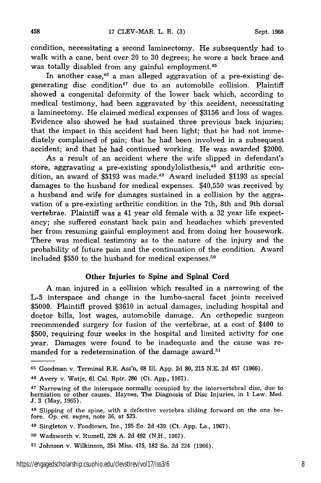condition, necessitating a second laminectomy. He subsequently had to walk with a cane, bent over 20 to 30 degrees; he wore a back brace and was totally disabled from any gainful employment.<sup>45</sup>

In another case, $46$  a man alleged aggravation of a pre-existing degenerating disc condition<sup>47</sup> due to an automobile collision. Plaintiff showed a congenital deformity of the lower back which, according to medical testimony, had been aggravated by this accident, necessitating a laminectomy. He claimed medical expenses of \$3156 and loss of wages. Evidence also showed he had sustained three previous back injuries; that the impact in this accident had been light; that he had not immediately complained of pain; that he had been involved in a subsequent accident; and that he had continued working. He was awarded \$2000.

As a result of an accident where the wife slipped in defendant's store, aggravating a pre-existing spondylolisthesis,<sup>48</sup> and arthritic condition, an award of  $$5193$  was made.<sup>49</sup> Award included  $$1193$  as special damages to the husband for medical expenses. \$40,550 was received by a husband and wife for damages sustained in a collision by the aggravation of a pre-existing arthritic condition in the 7th, 8th and 9th dorsal vertebrae. Plaintiff was a 41 year old female with a 32 year life expectancy; she suffered constant back pain and headaches which prevented her from resuming gainful employment and from doing her housework. There was medical testimony as to the nature of the injury and the probability of future pain and the continuation of the condition. Award included \$550 to the husband for medical expenses. <sup>50</sup>

### Other Injuries **to Spine and Spinal Cord**

A man injured in a collision which resulted in a narrowing of the L-5 interspace and change in the lumbo-sacral facet joints received \$5000. Plaintiff proved \$3610 in actual damages, including hospital and doctor bills, lost wages, automobile damage. An orthopedic surgeon recommended surgery for fusion of the vertebrae, at a cost of \$400 to \$500, requiring four weeks in the hospital and limited activity for one year. Damages were found to be inadequate and the cause was remanded for a redetermination of the damage award.<sup>51</sup>

<sup>45</sup> Goodman v. Terminal R.R. Ass'n, 68 Ill. App. 2d 80, 215 N.E. 2d 457 (1966).

<sup>46</sup> Avery v. Watje, 61 Cal. Rptr. 280 (Ct. App., 1967).

<sup>47</sup> Narrowing of the interspace normally occupied by the intervertebral disc, due to herniation or other causes. Haynes, The Diagnosis of Disc Injuries, in 1 Law. Med. J. 3 (May, 1965).

<sup>48</sup> Slipping of the spine, with a defective vertebra sliding forward on the one before. Op. cit. supra, note 36, at 523.

<sup>49</sup> Singleton v. Foodtown, Inc., 195 So. 2d 439 (Ct. App. La., 1967).

**<sup>50</sup>** Wadsworth v. Russell, 226 A. 2d 492 (N.H., 1967).

**<sup>51</sup>**Johnson v. Wilkinson, 254 Miss. 475, 182 So. 2d 224 (1966).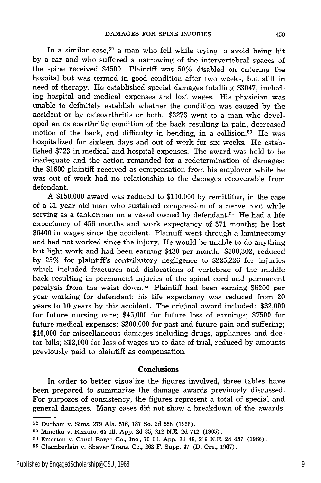In a similar case,<sup>52</sup> a man who fell while trying to avoid being hit by a car and who suffered a narrowing of the intervertebral spaces of the spine received \$4500. Plaintiff was 50% disabled on entering the hospital but was termed in good condition after two weeks, but still in need of therapy. He established special damages totalling \$3047, including hospital and medical expenses and lost wages. His physician was unable to definitely establish whether the condition was caused by the accident or by osteoarthritis or both. \$3273 went to a man who developed an osteoarthritic condition of the back resulting in pain, decreased motion of the back, and difficulty in bending, in a collision.<sup>53</sup> He was hospitalized for sixteen days and out of work for six weeks. He established \$723 in medical and hospital expenses. The award was held to be inadequate and the action remanded for a redetermination of damages; the \$1600 plaintiff received as compensation from his employer while he was out of work had no relationship to the damages recoverable from defendant.

A \$150,000 award was reduced to \$100,000 by remittitur, in the case of a 31 year old man who sustained compression of a nerve root while serving as a tankerman on a vessel owned by defendant.<sup>54</sup> He had a life expectancy of 456 months and work expectancy of 371 months; he lost \$6400 in wages since the accident. Plaintiff went through a laminectomy and had not worked since the injury. He would be unable to do anything but light work and had been earning \$430 per month. \$300,302, reduced by 25% for plaintiff's contributory negligence to \$225,226 for injuries which included fractures and dislocations of vertebrae of the middle back resulting in permanent injuries of the spinal cord and permanent paralysis from the waist down.<sup>55</sup> Plaintiff had been earning \$6200 per year working for defendant; his life expectancy was reduced from 20 years to 10 years by this accident. The original award included: \$32,000 for future nursing care; \$45,000 for future loss of earnings; \$7500 for future medical expenses; \$200,000 for past and future pain and suffering; \$10,000 for miscellaneous damages including drugs, appliances and doctor bills; \$12,000 for loss of wages up to date of trial, reduced by amounts previously paid to plaintiff as compensation.

### **Conclusions**

In order to better visualize the figures involved, three tables have been prepared to summarize the damage awards previously discussed. For purposes of consistency, the figures represent a total of special and general damages. Many cases did not show a breakdown of the awards.

**<sup>52</sup>**Durham v. Sims, 279 Ala. 516, 187 So. 2d 558 (1966).

**<sup>53</sup>**Mineiko v. Rizzuto, 65 Ill. App. 2d 35, 212 N.E. 2d 712 (1965).

<sup>54</sup> Emerton v. Canal Barge Co., Inc., 70 Ill. App. 2d 49, 216 N.E. 2d 457 (1966).

**<sup>55</sup>**Chamberlain v. Shaver Trans. Co., 263 F. Supp. 47 (D. Ore., 1967).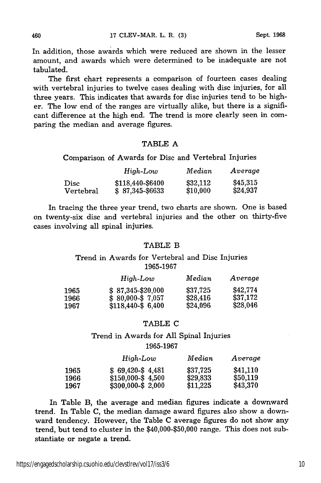In addition, those awards which were reduced are shown in the lesser amount, and awards which were determined to be inadequate are not tabulated.

The first chart represents a comparison of fourteen cases dealing with vertebral injuries to twelve cases dealing with disc injuries, for all three years. This indicates that awards for disc injuries tend to be higher. The low end of the ranges are virtually alike, but there is a significant difference at the high end. The trend is more clearly seen in comparing the median and average figures.

#### TABLE A

Comparison of Awards for Disc and Vertebral Injuries

|           | High-Low          | Median   | Average  |
|-----------|-------------------|----------|----------|
| Disc      | \$118,440-\$6400  | \$32,112 | \$45,315 |
| Vertebral | $$87,345 - $6633$ | \$10,000 | \$24,937 |

In tracing the three year trend, two charts are shown. One is based on twenty-six disc and vertebral injuries and the other on thirty-five cases involving all spinal injuries.

#### TABLE B

Trend in Awards for Vertebral and Disc Injuries 1965-1967

|      | High-Low            | Median   | Average  |
|------|---------------------|----------|----------|
| 1965 | $$87,345 - $20,000$ | \$37,725 | \$42,774 |
| 1966 | $$80,000-S7,057$    | \$28,416 | \$37,172 |
| 1967 | $$118.440-S$ 6.400  | \$24,096 | \$28,046 |

#### TABLE C

## Trend in Awards for All Spinal Injuries 1965-1967

|              | High-Low                                 | Median               | Average              |
|--------------|------------------------------------------|----------------------|----------------------|
| 1965         | $$69,420-$4,481$                         | \$37,725             | \$41.110             |
| 1966<br>1967 | $$150,000-S$ 4,500<br>$$300,000-\$2,000$ | \$29.833<br>\$11,225 | \$50,119<br>\$43,370 |

In Table B, the average and median figures indicate a downward trend. In Table C, the median damage award figures also show a downward tendency. However, the Table C average figures do not show any trend, but tend to cluster in the \$40,000-\$50,000 range. This does not substantiate or negate a trend.